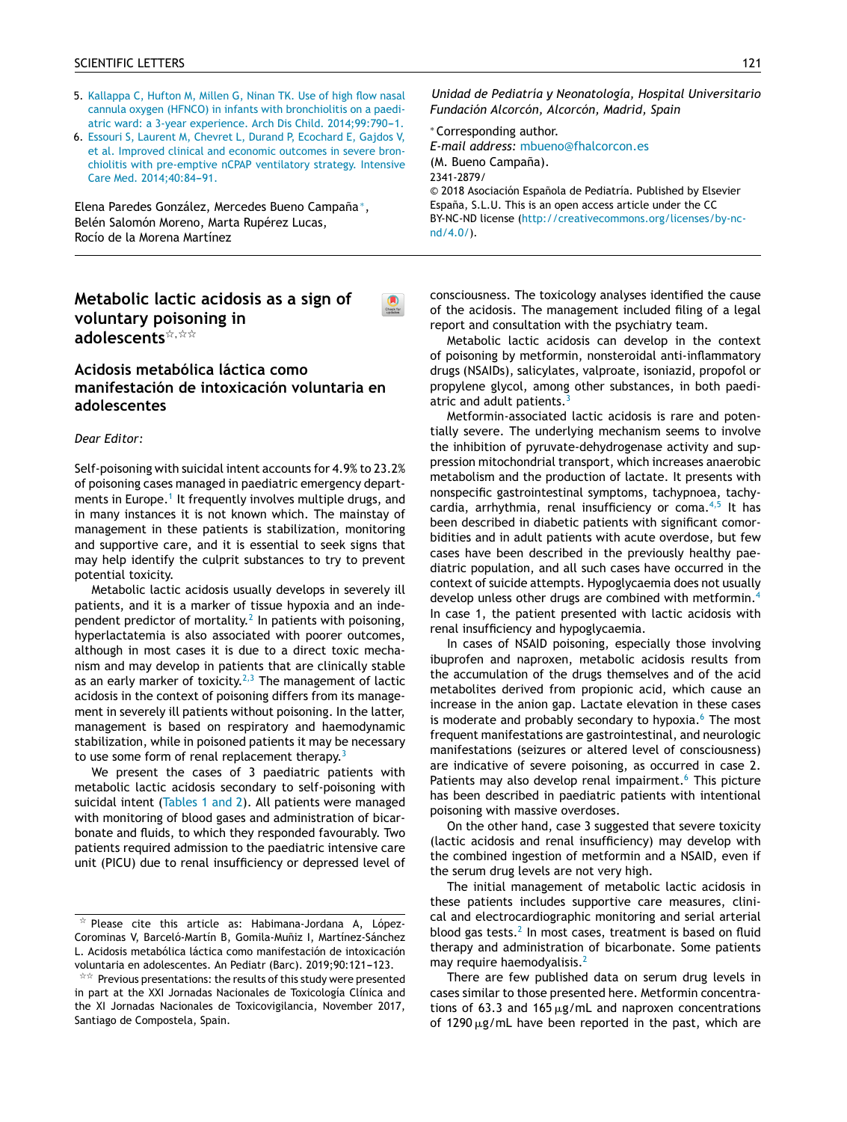- 5. Kallappa C, Hufton M, Millen G, Ninan TK. Use of high flow nasal cannula oxygen (HFNCO) in infants with bronchiolitis on a paediatric ward: a 3-year experience. Arch Dis Child. 2014;99:790-1.
- 6. Essouri S, Laurent M, Chevret L, Durand P, Ecochard E, Gajdos V, et al. Improved clinical and economic outcomes in severe bronchiolitis with pre-emptive nCPAP ventilatory strategy. Intensive Care Med. 2014;40:84-91.

Elena Paredes González, Mercedes Bueno Campaña<sup>\*</sup>, Belén Salomón Moreno, Marta Rupérez Lucas, Rocío de la Morena Martínez

## **Metabolic lactic acidosis as a sign of voluntary poisoning in** adolescents<sup>\*,\*\*</sup>

## **Acidosis metabólica láctica como manifestación de intoxicación voluntaria en adolescentes**

## *Dear Editor:*

Self-poisoning with suicidal intent accounts for 4.9% to 23.2% of poisoning cases managed in paediatric emergency depart-ments in Europe.<sup>1</sup> [It](#page-2-0) frequently involves multiple drugs, and in many instances it is not known which. The mainstay of management in these patients is stabilization, monitoring and supportive care, and it is essential to seek signs that may help identify the culprit substances to try to pre[vent](http://crossmark.crossref.org/dialog/?doi=10.1016/j.anpede.2018.02.013&domain=pdf) potential toxicity.

Metabolic lactic acidosis usually develops in severely ill patients, and it is a marker of tissue hypoxia and an independent predictor of mortality. $^2$  $^2$  In patients with poisoning, hyperlactatemia is also associated with poorer outcomes, although in most cases it is due to a direct toxic mechanism and may develop in patients that are clinically stable as an early marker of toxicity.<sup>[2,3](#page-2-0)</sup> The management of lactic acidosis in the context of poisoning differs from its management in severely ill patients without poisoning. In the latter, management is based on respiratory and haemodynamic stabilization, while in poisoned patients it may be necessary to use some form of renal replacement therapy.<sup>[3](#page-2-0)</sup>

We present the cases of 3 paediatric patients with metabolic lactic acidosis secondary to self-poisoning with suicidal intent [\(Tables](#page-1-0) 1 and 2). All patients were managed with monitoring of blood gases and administration of bicarbonate and fluids, to which they responded favourably. Two patients required admission to the paediatric intensive care unit (PICU) due to renal insufficiency or depressed level of

*Unidad de Pediatría y Neonatología, Hospital Universitario Fundación Alcorcón, Alcorcón, Madrid, Spain*

<sup>∗</sup> Corresponding author. *E-mail address:* [mbueno@fhalcorcon.es](mailto:mbueno@fhalcorcon.es) (M. Bueno Campaña). 2341-2879/ © 2018 [Asociaci](http://www.analesdepediatria.org)ón Española de Pediatría. Published by Elsevier España, S.L.U. This is an open access article under the CC BY-NC-ND license ([http://creativecommons.org/licenses/by-nc](http://creativecommons.org/licenses/by-nc-nd/4.0/) $nd/4.0/$ ).

consciousness. The toxicology analyses identified the cause of the acidosis. The management included filing of a legal report and consultation with the psychiatry team.

Metabolic lactic acidosis can develop in the context of poisoning by metformin, nonsteroidal anti-inflammatory drugs (NSAIDs), salicylates, valproate, isoniazid, propofol or propylene glycol, among other substances, in both paediatric and adult patients.

Metformin-as[sociated](mailto:jorge.reina@ssib.es) lactic acidosis is rare and potentially severe. The underlying mechanism seems to involve the inhibition of pyruvate-dehydrogenase activity and suppression mitochondrial transport, which increases anaerobic metabolism and [the](http://creativecommons.org/licenses/by-nc-nd/4.0/) pr[oduction](http://creativecommons.org/licenses/by-nc-nd/4.0/) of lact[ate.](http://creativecommons.org/licenses/by-nc-nd/4.0/) It [presents](http://creativecommons.org/licenses/by-nc-nd/4.0/) [wi](http://creativecommons.org/licenses/by-nc-nd/4.0/)th [nonspec](http://creativecommons.org/licenses/by-nc-nd/4.0/)ific gastrointestinal symptoms, tachypnoea, tachy-cardia, arrhythmia, renal insufficiency or coma.<sup>[4,5](#page-2-0)</sup> It has been described in diabetic patients with significant comorbidities and in adult patients with acute overdose, but few cases have been described in the previously healthy paediatric population, and all such cases have occurred in the context of suicide attempts. Hypoglycaemia does not usually develop unless other drugs are combined with metformin.[4](#page-2-0) In case 1, the patient presented with lactic acidosis with renal insufficiency and hypoglycaemia.

In cases of NSAID poisoning, especially those involving ibuprofen and naproxen, metabolic acidosis results from the accumulation of the drugs themselves and of the acid metabolites derived from propionic acid, which cause an increase in the anion gap. Lactate elevation in these cases is moderate and probably secondary to hypoxia. $6$  The most frequent manifestations are gastrointestinal, and neurologic manifestations (seizures or altered level of consciousness) are indicative of severe poisoning, as occurred in case 2. Patients may also develop renal impairment.<sup>[6](#page-2-0)</sup> This picture has been described in paediatric patients with intentional poisoning with massive overdoses.

On the other hand, case 3 suggested that severe toxicity (lactic acidosis and renal insufficiency) may develop with the combined ingestion of metformin and a NSAID, even if the serum drug levels are not very high.

The initial management of metabolic lactic acidosis in these patients includes supportive care measures, clinical and electrocardiographic monitoring and serial arterial blood gas tests.<sup>[2](#page-2-0)</sup> In most cases, treatment is based on fluid therapy and administration of bicarbonate. Some patients may require haemodyalisis.<sup>[2](#page-2-0)</sup>

There are few published data on serum drug levels in cases similar to those presented here. Metformin concentrations of 63.3 and  $165 \,\mathrm{\upmu g/mL}$  and naproxen concentrations of 1290  $\mu$ g/mL have been reported in the past, which are

 $\star$  Please cite this article as: Habimana-Jordana A, López-Corominas V, Barceló-Martín B, Gomila-Muñiz I, Martínez-Sánchez L. Acidosis metabólica láctica como manifestación de intoxicación voluntaria en adolescentes. An Pediatr (Barc). 2019;90:121-123.

 $\overline{\mathbb{R}}^{\times \times}$  Previous presentations: the results of this study were presented in part at the XXI Jornadas Nacionales de Toxicología Clínica and the XI Jornadas Nacionales de Toxicovigilancia, November 2017, Santiago de Compostela, Spain.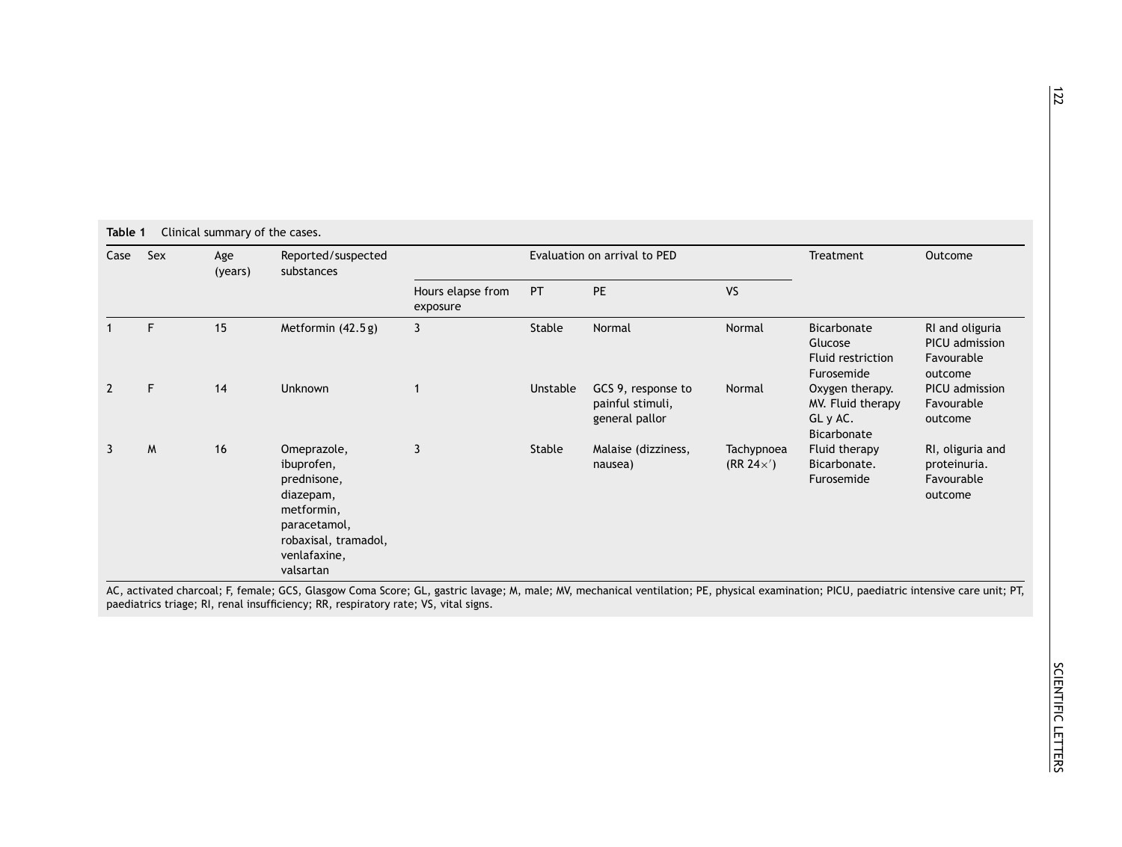<span id="page-1-0"></span>

| Clinical summary of the cases.<br>Table 1 |     |                |                                                                                                                                          |                               |                              |                                                          |                                 |                                                                 |                                                            |  |  |
|-------------------------------------------|-----|----------------|------------------------------------------------------------------------------------------------------------------------------------------|-------------------------------|------------------------------|----------------------------------------------------------|---------------------------------|-----------------------------------------------------------------|------------------------------------------------------------|--|--|
| Case                                      | Sex | Age<br>(years) | Reported/suspected<br>substances                                                                                                         |                               | Evaluation on arrival to PED | Treatment                                                | Outcome                         |                                                                 |                                                            |  |  |
|                                           |     |                |                                                                                                                                          | Hours elapse from<br>exposure | PT                           | <b>PE</b>                                                | <b>VS</b>                       |                                                                 |                                                            |  |  |
|                                           | F   | 15             | Metformin (42.5 g)                                                                                                                       | 3                             | Stable                       | Normal                                                   | Normal                          | Bicarbonate<br>Glucose<br>Fluid restriction<br>Furosemide       | RI and oliguria<br>PICU admission<br>Favourable<br>outcome |  |  |
| 2                                         | F   | 14             | <b>Unknown</b>                                                                                                                           |                               | Unstable                     | GCS 9, response to<br>painful stimuli,<br>general pallor | Normal                          | Oxygen therapy.<br>MV. Fluid therapy<br>GL y AC.<br>Bicarbonate | PICU admission<br>Favourable<br>outcome                    |  |  |
| 3                                         | M   | 16             | Omeprazole,<br>ibuprofen,<br>prednisone,<br>diazepam,<br>metformin,<br>paracetamol,<br>robaxisal, tramadol,<br>venlafaxine,<br>valsartan | $\overline{3}$                | Stable                       | Malaise (dizziness,<br>nausea)                           | Tachypnoea<br>$(RR 24 \times')$ | Fluid therapy<br>Bicarbonate.<br>Furosemide                     | RI, oliguria and<br>proteinuria.<br>Favourable<br>outcome  |  |  |

AC, activated charcoal; F, female; GCS, Glasgow Coma Score; GL, gastric lavage; M, male; MV, mechanical ventilation; PE, physical examination; PICU, paediatric intensive care unit; PT, paediatrics triage; RI, renal insufficiency; RR, respiratory rate; VS, vital signs.